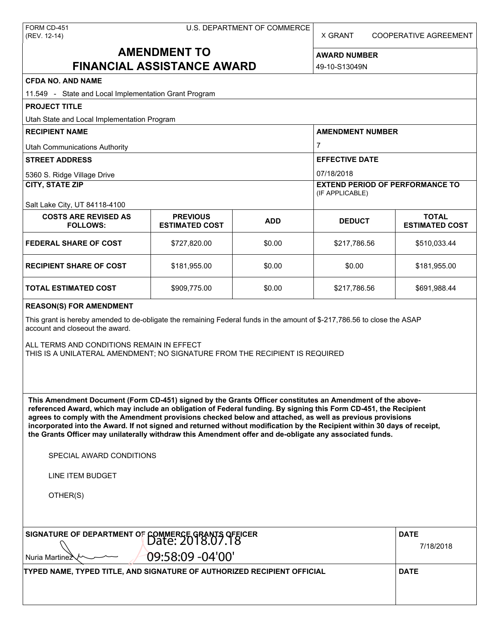X GRANT COOPERATIVE AGREEMENT

# **AMENDMENT TO FINANCIAL ASSISTANCE AWARD**

**AWARD NUMBER** 49-10-S13049N

| <b>CFDA NO. AND NAME</b>                                                                                                                                                                                                                                                                                                                                                                                                                                                                                                                                                                                                                      |                                          |            |                                                           |                                       |  |  |
|-----------------------------------------------------------------------------------------------------------------------------------------------------------------------------------------------------------------------------------------------------------------------------------------------------------------------------------------------------------------------------------------------------------------------------------------------------------------------------------------------------------------------------------------------------------------------------------------------------------------------------------------------|------------------------------------------|------------|-----------------------------------------------------------|---------------------------------------|--|--|
| 11.549 - State and Local Implementation Grant Program                                                                                                                                                                                                                                                                                                                                                                                                                                                                                                                                                                                         |                                          |            |                                                           |                                       |  |  |
| <b>PROJECT TITLE</b>                                                                                                                                                                                                                                                                                                                                                                                                                                                                                                                                                                                                                          |                                          |            |                                                           |                                       |  |  |
| Utah State and Local Implementation Program                                                                                                                                                                                                                                                                                                                                                                                                                                                                                                                                                                                                   |                                          |            |                                                           |                                       |  |  |
| <b>RECIPIENT NAME</b>                                                                                                                                                                                                                                                                                                                                                                                                                                                                                                                                                                                                                         |                                          |            | <b>AMENDMENT NUMBER</b>                                   |                                       |  |  |
| <b>Utah Communications Authority</b>                                                                                                                                                                                                                                                                                                                                                                                                                                                                                                                                                                                                          |                                          |            | 7                                                         |                                       |  |  |
| <b>STREET ADDRESS</b>                                                                                                                                                                                                                                                                                                                                                                                                                                                                                                                                                                                                                         |                                          |            | <b>EFFECTIVE DATE</b>                                     |                                       |  |  |
| 5360 S. Ridge Village Drive                                                                                                                                                                                                                                                                                                                                                                                                                                                                                                                                                                                                                   |                                          |            | 07/18/2018                                                |                                       |  |  |
| <b>CITY, STATE ZIP</b>                                                                                                                                                                                                                                                                                                                                                                                                                                                                                                                                                                                                                        |                                          |            | <b>EXTEND PERIOD OF PERFORMANCE TO</b><br>(IF APPLICABLE) |                                       |  |  |
| Salt Lake City, UT 84118-4100<br><b>COSTS ARE REVISED AS</b><br><b>FOLLOWS:</b>                                                                                                                                                                                                                                                                                                                                                                                                                                                                                                                                                               | <b>PREVIOUS</b><br><b>ESTIMATED COST</b> | <b>ADD</b> | <b>DEDUCT</b>                                             | <b>TOTAL</b><br><b>ESTIMATED COST</b> |  |  |
| <b>FEDERAL SHARE OF COST</b>                                                                                                                                                                                                                                                                                                                                                                                                                                                                                                                                                                                                                  | \$727,820.00                             | \$0.00     | \$217,786.56                                              | \$510,033.44                          |  |  |
| <b>RECIPIENT SHARE OF COST</b>                                                                                                                                                                                                                                                                                                                                                                                                                                                                                                                                                                                                                | \$181,955.00                             | \$0.00     | \$0.00                                                    | \$181,955.00                          |  |  |
| <b>TOTAL ESTIMATED COST</b>                                                                                                                                                                                                                                                                                                                                                                                                                                                                                                                                                                                                                   | \$909,775.00                             | \$0.00     | \$217,786.56                                              | \$691,988.44                          |  |  |
| This grant is hereby amended to de-obligate the remaining Federal funds in the amount of \$-217,786.56 to close the ASAP<br>account and closeout the award.<br>ALL TERMS AND CONDITIONS REMAIN IN EFFECT<br>THIS IS A UNILATERAL AMENDMENT; NO SIGNATURE FROM THE RECIPIENT IS REQUIRED                                                                                                                                                                                                                                                                                                                                                       |                                          |            |                                                           |                                       |  |  |
| This Amendment Document (Form CD-451) signed by the Grants Officer constitutes an Amendment of the above-<br>referenced Award, which may include an obligation of Federal funding. By signing this Form CD-451, the Recipient<br>agrees to comply with the Amendment provisions checked below and attached, as well as previous provisions<br>incorporated into the Award. If not signed and returned without modification by the Recipient within 30 days of receipt,<br>the Grants Officer may unilaterally withdraw this Amendment offer and de-obligate any associated funds.<br>SPECIAL AWARD CONDITIONS<br>LINE ITEM BUDGET<br>OTHER(S) |                                          |            |                                                           |                                       |  |  |
| SIGNATURE OF DEPARTMENT OF COMMERCE GRANTS OFFICER                                                                                                                                                                                                                                                                                                                                                                                                                                                                                                                                                                                            |                                          |            |                                                           | <b>DATE</b>                           |  |  |
|                                                                                                                                                                                                                                                                                                                                                                                                                                                                                                                                                                                                                                               | 7/18/2018                                |            |                                                           |                                       |  |  |
| Nuria Martinez                                                                                                                                                                                                                                                                                                                                                                                                                                                                                                                                                                                                                                | 09:58:09 -04'00'                         |            |                                                           |                                       |  |  |
| TYPED NAME, TYPED TITLE, AND SIGNATURE OF AUTHORIZED RECIPIENT OFFICIAL                                                                                                                                                                                                                                                                                                                                                                                                                                                                                                                                                                       |                                          |            |                                                           | <b>DATE</b>                           |  |  |